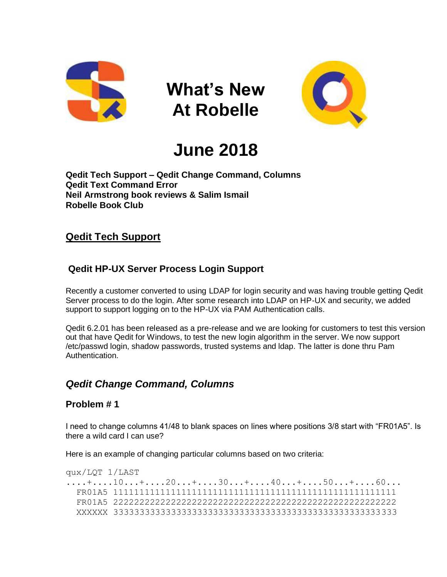

**What's New At Robelle**



# **June 2018**

**Qedit Tech Support – Qedit Change Command, Columns Qedit Text Command Error Neil Armstrong book reviews & Salim Ismail Robelle Book Club**

# **Qedit Tech Support**

# **Qedit HP-UX Server Process Login Support**

Recently a customer converted to using LDAP for login security and was having trouble getting Qedit Server process to do the login. After some research into LDAP on HP-UX and security, we added support to support logging on to the HP-UX via PAM Authentication calls.

Qedit 6.2.01 has been released as a pre-release and we are looking for customers to test this version out that have Qedit for Windows, to test the new login algorithm in the server. We now support /etc/passwd login, shadow passwords, trusted systems and ldap. The latter is done thru Pam Authentication.

# *Qedit Change Command, Columns*

# **Problem # 1**

I need to change columns 41/48 to blank spaces on lines where positions 3/8 start with "FR01A5". Is there a wild card I can use?

Here is an example of changing particular columns based on two criteria:

```
qux/LQT 1/LAST
....+....10...+....20...+....30...+....40...+....50...+....60...
   FR01A5 111111111111111111111111111111111111111111111111111111
   FR01A5 222222222222222222222222222222222222222222222222222222
   XXXXXX 333333333333333333333333333333333333333333333333333333
```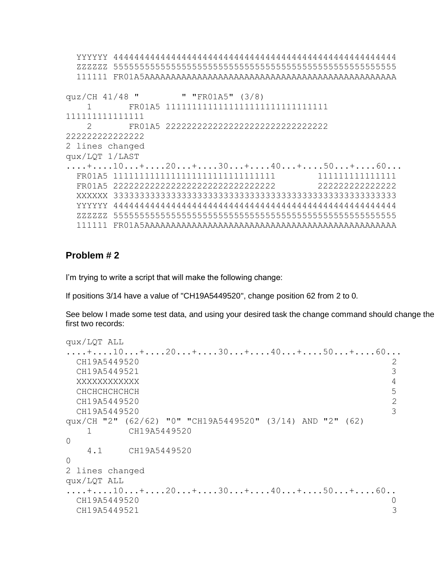```
 YYYYYY 444444444444444444444444444444444444444444444444444444
  ZZZZZZ 555555555555555555555555555555555555555555555555555555
  111111 FR01A5AAAAAAAAAAAAAAAAAAAAAAAAAAAAAAAAAAAAAAAAAAAAAAAA
quz/CH 41/48 " " "FR01A5" (3/8)
     1 FR01A5 1111111111111111111111111111111 
111111111111111
    2 FR01A5 2222222222222222222222222222222 
222222222222222
2 lines changed
qux/LQT 1/LAST
....+....10...+....20...+....30...+....40...+....50...+....60...
  FR01A5 1111111111111111111111111111111 111111111111111
  FR01A5 2222222222222222222222222222222 222222222222222
  XXXXXX 333333333333333333333333333333333333333333333333333333
  YYYYYY 444444444444444444444444444444444444444444444444444444
  ZZZZZZ 555555555555555555555555555555555555555555555555555555
  111111 FR01A5AAAAAAAAAAAAAAAAAAAAAAAAAAAAAAAAAAAAAAAAAAAAAAAA
```
# **Problem # 2**

I'm trying to write a script that will make the following change:

If positions 3/14 have a value of "CH19A5449520", change position 62 from 2 to 0.

See below I made some test data, and using your desired task the change command should change the first two records:

```
qux/LQT ALL
....+....10...+....20...+....30...+....40...+....50...+....60...
  CH19A5449520 2
 CH19A5449521 3
  XXXXXXXXXXXX 4
 CHCHCHCHCHCH 5
 CH19A5449520 2
 CH19A5449520 3
qux/CH "2" (62/62) "0" "CH19A5449520" (3/14) AND "2" (62)
   1 CH19A5449520 
\Omega 4.1 CH19A5449520 
\Omega2 lines changed
qux/LQT ALL
....+....10...+....20...+....30...+....40...+....50...+....60..
  CH19A5449520 0
 CH19A5449521 3
```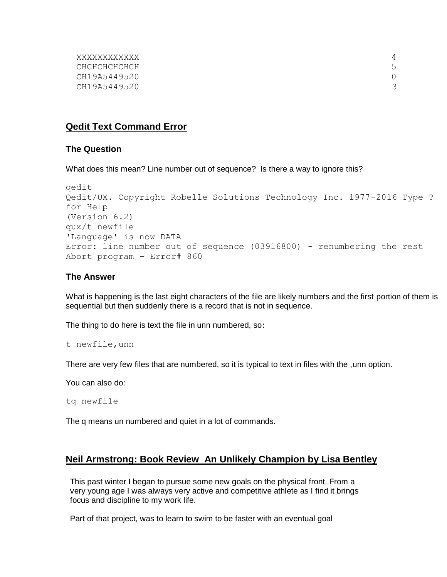| <i>XXXXXXXXXXX</i> |   |
|--------------------|---|
| СНСНСНСНСНСН       | 5 |
| CH19A5449520       |   |
| CH19A5449520       | 3 |
|                    |   |

# **Qedit Text Command Error**

#### **The Question**

What does this mean? Line number out of sequence? Is there a way to ignore this?

```
qedit
Qedit/UX. Copyright Robelle Solutions Technology Inc. 1977-2016 Type ? 
for Help
(Version 6.2)
qux/t newfile
'Language' is now DATA
Error: line number out of sequence (03916800) - renumbering the rest
Abort program - Error# 860
```
#### **The Answer**

What is happening is the last eight characters of the file are likely numbers and the first portion of them is sequential but then suddenly there is a record that is not in sequence.

The thing to do here is text the file in unn numbered, so:

```
t newfile,unn
```
There are very few files that are numbered, so it is typical to text in files with the ,unn option.

You can also do:

```
tq newfile
```
The q means un numbered and quiet in a lot of commands.

# **Neil Armstrong: Book Review An Unlikely Champion by Lisa Bentley**

 This past winter I began to pursue some new goals on the physical front. From a very young age I was always very active and competitive athlete as I find it brings focus and discipline to my work life.

Part of that project, was to learn to swim to be faster with an eventual goal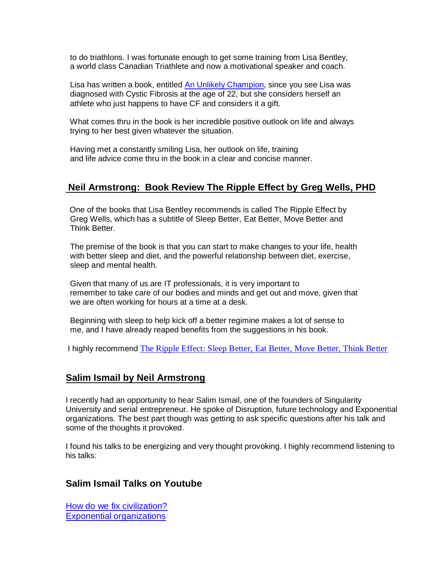to do triathlons. I was fortunate enough to get some training from Lisa Bentley, a world class Canadian Triathlete and now a motivational speaker and coach.

Lisa has written a book, entitled [An Unlikely Champion,](https://www.goodreads.com/book/show/39719825-an-unlikely-champion?from_search=true) since you see Lisa was diagnosed with Cystic Fibrosis at the age of 22, but she considers herself an athlete who just happens to have CF and considers it a gift.

 What comes thru in the book is her incredible positive outlook on life and always trying to her best given whatever the situation.

 Having met a constantly smiling Lisa, her outlook on life, training and life advice come thru in the book in a clear and concise manner.

# **Neil Armstrong: Book Review The Ripple Effect by Greg Wells, PHD**

 One of the books that Lisa Bentley recommends is called The Ripple Effect by Greg Wells, which has a subtitle of Sleep Better, Eat Better, Move Better and Think Better.

 The premise of the book is that you can start to make changes to your life, health with better sleep and diet, and the powerful relationship between diet, exercise, sleep and mental health.

 Given that many of us are IT professionals, it is very important to remember to take care of our bodies and minds and get out and move, given that we are often working for hours at a time at a desk.

 Beginning with sleep to help kick off a better regimine makes a lot of sense to me, and I have already reaped benefits from the suggestions in his book.

I highly recommend [The Ripple Effect: Sleep Better, Eat Better, Move Better, Think Better](https://www.goodreads.com/book/show/34625916-the-ripple-effect?from_search=true)

# **Salim Ismail by Neil Armstrong**

I recently had an opportunity to hear Salim Ismail, one of the founders of Singularity University and serial entrepreneur. He spoke of Disruption, future technology and Exponential organizations. The best part though was getting to ask specific questions after his talk and some of the thoughts it provoked.

I found his talks to be energizing and very thought provoking. I highly recommend listening to his talks:

# **Salim Ismail Talks on Youtube**

[How do we fix civilization?](https://www.youtube.com/watch?v=mV0oKVOIGG4) [Exponential organizations](https://www.youtube.com/watch?v=0q1qAdT-4m0)